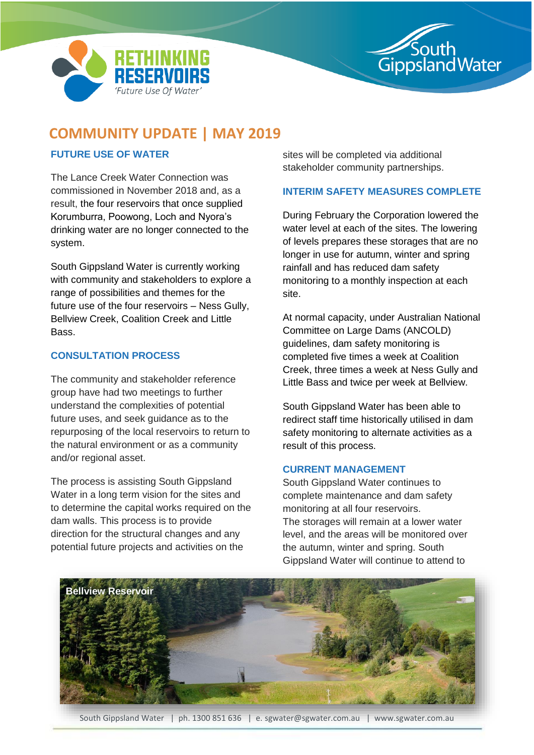



# **COMMUNITY UPDATE | MAY 2019**

## **FUTURE USE OF WATER**

The Lance Creek Water Connection was commissioned in November 2018 and, as a result, the four reservoirs that once supplied Korumburra, Poowong, Loch and Nyora's drinking water are no longer connected to the system.

South Gippsland Water is currently working with community and stakeholders to explore a range of possibilities and themes for the future use of the four reservoirs – Ness Gully, Bellview Creek, Coalition Creek and Little Bass.

### **CONSULTATION PROCESS**

The community and stakeholder reference group have had two meetings to further understand the complexities of potential future uses, and seek guidance as to the repurposing of the local reservoirs to return to the natural environment or as a community and/or regional asset.

The process is assisting South Gippsland Water in a long term vision for the sites and to determine the capital works required on the dam walls. This process is to provide direction for the structural changes and any potential future projects and activities on the

sites will be completed via additional stakeholder community partnerships.

### **INTERIM SAFETY MEASURES COMPLETE**

During February the Corporation lowered the water level at each of the sites. The lowering of levels prepares these storages that are no longer in use for autumn, winter and spring rainfall and has reduced dam safety monitoring to a monthly inspection at each site.

At normal capacity, under Australian National Committee on Large Dams (ANCOLD) guidelines, dam safety monitoring is completed five times a week at Coalition Creek, three times a week at Ness Gully and Little Bass and twice per week at Bellview.

South Gippsland Water has been able to redirect staff time historically utilised in dam safety monitoring to alternate activities as a result of this process.

### **CURRENT MANAGEMENT**

South Gippsland Water continues to complete maintenance and dam safety monitoring at all four reservoirs. The storages will remain at a lower water level, and the areas will be monitored over the autumn, winter and spring. South Gippsland Water will continue to attend to